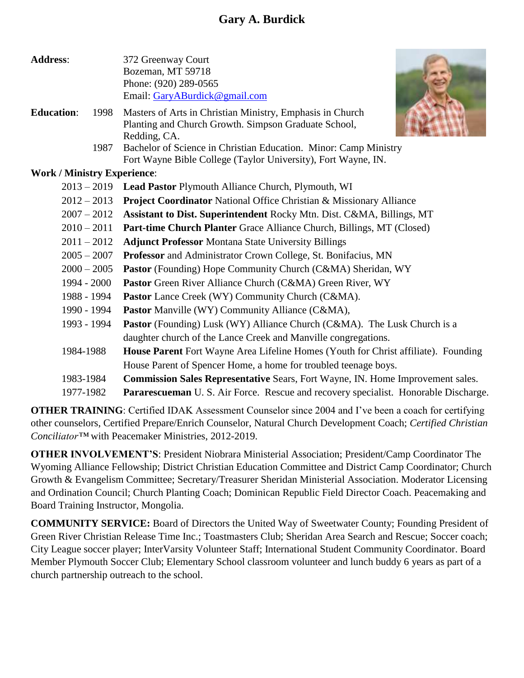# **Gary A. Burdick**

| <b>Address:</b>   |                                    | 372 Greenway Court                                                                    |
|-------------------|------------------------------------|---------------------------------------------------------------------------------------|
|                   |                                    | Bozeman, MT 59718                                                                     |
|                   |                                    | Phone: (920) 289-0565                                                                 |
|                   |                                    | Email: GaryABurdick@gmail.com                                                         |
| <b>Education:</b> | 1998                               | Masters of Arts in Christian Ministry, Emphasis in Church                             |
|                   |                                    | Planting and Church Growth. Simpson Graduate School,                                  |
|                   |                                    | Redding, CA.                                                                          |
|                   | 1987                               | Bachelor of Science in Christian Education. Minor: Camp Ministry                      |
|                   |                                    | Fort Wayne Bible College (Taylor University), Fort Wayne, IN.                         |
|                   | <b>Work / Ministry Experience:</b> |                                                                                       |
|                   | $2013 - 2019$                      | Lead Pastor Plymouth Alliance Church, Plymouth, WI                                    |
|                   | $2012 - 2013$                      | <b>Project Coordinator National Office Christian &amp; Missionary Alliance</b>        |
|                   | $2007 - 2012$                      | Assistant to Dist. Superintendent Rocky Mtn. Dist. C&MA, Billings, MT                 |
|                   | $2010 - 2011$                      | Part-time Church Planter Grace Alliance Church, Billings, MT (Closed)                 |
|                   | $2011 - 2012$                      | <b>Adjunct Professor Montana State University Billings</b>                            |
|                   | $2005 - 2007$                      | Professor and Administrator Crown College, St. Bonifacius, MN                         |
|                   | $2000 - 2005$                      | <b>Pastor</b> (Founding) Hope Community Church (C&MA) Sheridan, WY                    |
|                   | 1994 - 2000                        | Pastor Green River Alliance Church (C&MA) Green River, WY                             |
|                   | 1988 - 1994                        | <b>Pastor</b> Lance Creek (WY) Community Church (C&MA).                               |
|                   | 1990 - 1994                        | <b>Pastor</b> Manville (WY) Community Alliance (C&MA),                                |
|                   | 1993 - 1994                        | <b>Pastor</b> (Founding) Lusk (WY) Alliance Church (C&MA). The Lusk Church is a       |
|                   |                                    | daughter church of the Lance Creek and Manville congregations.                        |
|                   | 1984-1988                          | House Parent Fort Wayne Area Lifeline Homes (Youth for Christ affiliate). Founding    |
|                   |                                    | House Parent of Spencer Home, a home for troubled teenage boys.                       |
|                   | 1983-1984                          | <b>Commission Sales Representative Sears, Fort Wayne, IN. Home Improvement sales.</b> |
|                   | 1977-1982                          | Pararescueman U. S. Air Force. Rescue and recovery specialist. Honorable Discharge.   |

**OTHER TRAINING**: Certified IDAK Assessment Counselor since 2004 and I've been a coach for certifying other counselors, Certified Prepare/Enrich Counselor, Natural Church Development Coach; *Certified Christian Conciliator™* with Peacemaker Ministries, 2012-2019.

**OTHER INVOLVEMENT'S**: President Niobrara Ministerial Association; President/Camp Coordinator The Wyoming Alliance Fellowship; District Christian Education Committee and District Camp Coordinator; Church Growth & Evangelism Committee; Secretary/Treasurer Sheridan Ministerial Association. Moderator Licensing and Ordination Council; Church Planting Coach; Dominican Republic Field Director Coach. Peacemaking and Board Training Instructor, Mongolia.

**COMMUNITY SERVICE:** Board of Directors the United Way of Sweetwater County; Founding President of Green River Christian Release Time Inc.; Toastmasters Club; Sheridan Area Search and Rescue; Soccer coach; City League soccer player; InterVarsity Volunteer Staff; International Student Community Coordinator. Board Member Plymouth Soccer Club; Elementary School classroom volunteer and lunch buddy 6 years as part of a church partnership outreach to the school.